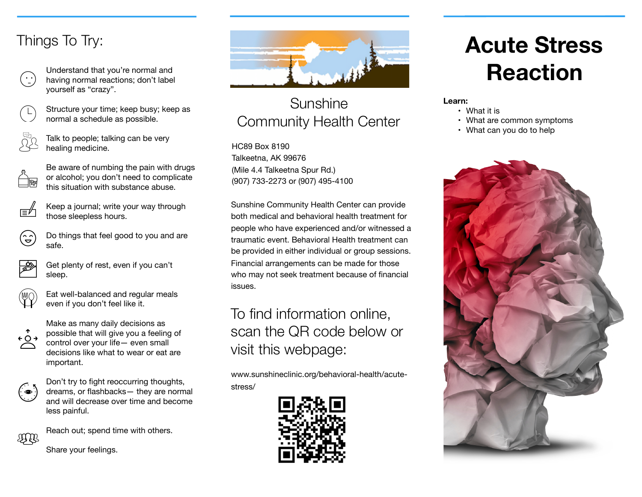# Things To Try:



Understand that you're normal and having normal reactions; don't label yourself as "crazy".



Structure your time; keep busy; keep as normal a schedule as possible.



Talk to people; talking can be very healing medicine.



- Be aware of numbing the pain with drugs or alcohol; you don't need to complicate this situation with substance abuse.
- 
- Keep a journal; write your way through those sleepless hours.



Do things that feel good to you and are safe.



Get plenty of rest, even if you can't sleep.



Eat well-balanced and regular meals even if you don't feel like it.



Make as many daily decisions as possible that will give you a feeling of control over your life— even small decisions like what to wear or eat are important.



Don't try to fight reoccurring thoughts, dreams, or flashbacks— they are normal and will decrease over time and become less painful.



Reach out; spend time with others.





#### Sunshine Community Health Center

HC89 Box 8190 Talkeetna, AK 99676 (Mile 4.4 Talkeetna Spur Rd.) (907) 733-2273 or (907) 495-4100

Sunshine Community Health Center can provide both medical and behavioral health treatment for people who have experienced and/or witnessed a traumatic event. Behavioral Health treatment can be provided in either individual or group sessions. Financial arrangements can be made for those who may not seek treatment because of financial issues.

## To find information online, scan the QR code below or visit this webpage:

www.sunshineclinic.org/behavioral-health/acutestress/



# **Acute Stress Reaction**

**Learn:** 

- What it is
- What are common symptoms
- What can you do to help